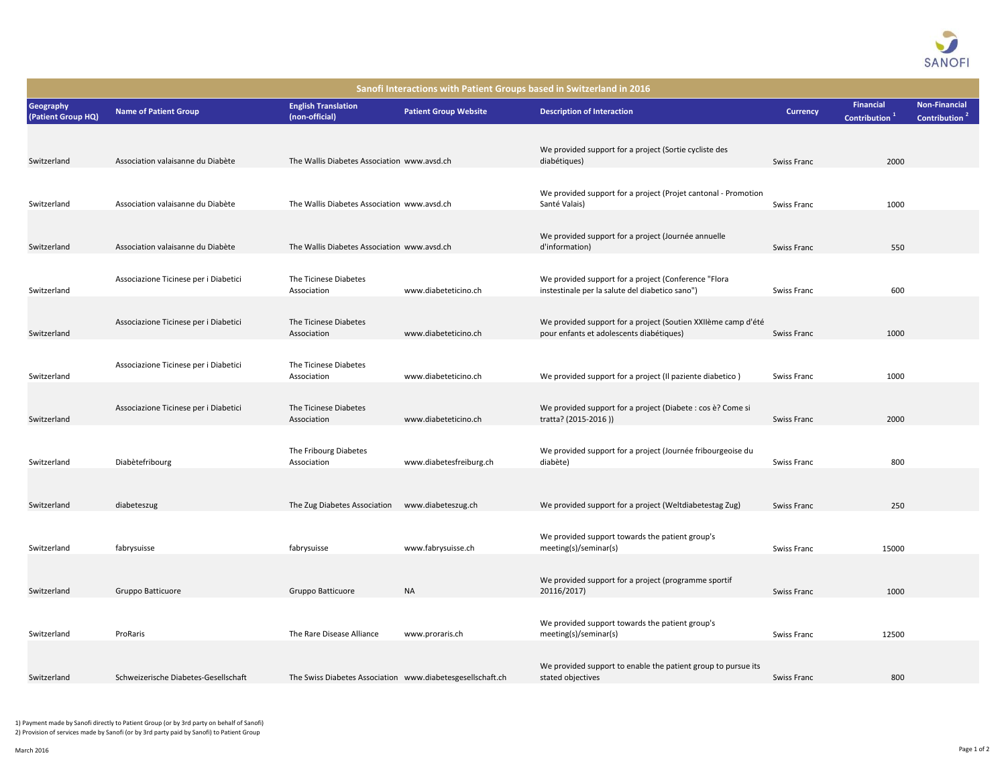

| Sanofi Interactions with Patient Groups based in Switzerland in 2016 |                                       |                                                            |                              |                                                                                                           |                 |                                               |                                                   |  |  |  |  |  |
|----------------------------------------------------------------------|---------------------------------------|------------------------------------------------------------|------------------------------|-----------------------------------------------------------------------------------------------------------|-----------------|-----------------------------------------------|---------------------------------------------------|--|--|--|--|--|
| Geography<br>(Patient Group HQ)                                      | <b>Name of Patient Group</b>          | <b>English Translation</b><br>(non-official)               | <b>Patient Group Website</b> | <b>Description of Interaction</b>                                                                         | <b>Currency</b> | <b>Financial</b><br>Contribution <sup>1</sup> | <b>Non-Financial</b><br>Contribution <sup>2</sup> |  |  |  |  |  |
| Switzerland                                                          | Association valaisanne du Diabète     | The Wallis Diabetes Association www.avsd.ch                |                              | We provided support for a project (Sortie cycliste des<br>diabétiques)                                    | Swiss Franc     | 2000                                          |                                                   |  |  |  |  |  |
| Switzerland                                                          | Association valaisanne du Diabète     | The Wallis Diabetes Association www.avsd.ch                |                              | We provided support for a project (Projet cantonal - Promotion<br>Santé Valais)                           | Swiss Franc     | 1000                                          |                                                   |  |  |  |  |  |
| Switzerland                                                          | Association valaisanne du Diabète     | The Wallis Diabetes Association www.avsd.ch                |                              | We provided support for a project (Journée annuelle<br>d'information)                                     | Swiss Franc     | 550                                           |                                                   |  |  |  |  |  |
| Switzerland                                                          | Associazione Ticinese per i Diabetici | The Ticinese Diabetes<br>Association                       | www.diabeteticino.ch         | We provided support for a project (Conference "Flora<br>instestinale per la salute del diabetico sano")   | Swiss Franc     | 600                                           |                                                   |  |  |  |  |  |
| Switzerland                                                          | Associazione Ticinese per i Diabetici | The Ticinese Diabetes<br>Association                       | www.diabeteticino.ch         | We provided support for a project (Soutien XXIIème camp d'été<br>pour enfants et adolescents diabétiques) | Swiss Franc     | 1000                                          |                                                   |  |  |  |  |  |
| Switzerland                                                          | Associazione Ticinese per i Diabetici | The Ticinese Diabetes<br>Association                       | www.diabeteticino.ch         | We provided support for a project (Il paziente diabetico)                                                 | Swiss Franc     | 1000                                          |                                                   |  |  |  |  |  |
| Switzerland                                                          | Associazione Ticinese per i Diabetici | The Ticinese Diabetes<br>Association                       | www.diabeteticino.ch         | We provided support for a project (Diabete: cos è? Come si<br>tratta? (2015-2016))                        | Swiss Franc     | 2000                                          |                                                   |  |  |  |  |  |
| Switzerland                                                          | Diabètefribourg                       | The Fribourg Diabetes<br>Association                       | www.diabetesfreiburg.ch      | We provided support for a project (Journée fribourgeoise du<br>diabète)                                   | Swiss Franc     | 800                                           |                                                   |  |  |  |  |  |
| Switzerland                                                          | diabeteszug                           | The Zug Diabetes Association                               | www.diabeteszug.ch           | We provided support for a project (Weltdiabetestag Zug)                                                   | Swiss Franc     | 250                                           |                                                   |  |  |  |  |  |
| Switzerland                                                          | fabrysuisse                           | fabrysuisse                                                | www.fabrysuisse.ch           | We provided support towards the patient group's<br>meeting(s)/seminar(s)                                  | Swiss Franc     | 15000                                         |                                                   |  |  |  |  |  |
| Switzerland                                                          | Gruppo Batticuore                     | Gruppo Batticuore                                          | <b>NA</b>                    | We provided support for a project (programme sportif<br>20116/2017)                                       | Swiss Franc     | 1000                                          |                                                   |  |  |  |  |  |
| Switzerland                                                          | ProRaris                              | The Rare Disease Alliance                                  | www.proraris.ch              | We provided support towards the patient group's<br>meeting(s)/seminar(s)                                  | Swiss Franc     | 12500                                         |                                                   |  |  |  |  |  |
| Switzerland                                                          | Schweizerische Diabetes-Gesellschaft  | The Swiss Diabetes Association www.diabetesgesellschaft.ch |                              | We provided support to enable the patient group to pursue its<br>stated objectives                        | Swiss Franc     | 800                                           |                                                   |  |  |  |  |  |

1) Payment made by Sanofi directly to Patient Group (or by 3rd party on behalf of Sanofi) 2) Provision of services made by Sanofi (or by 3rd party paid by Sanofi) to Patient Group